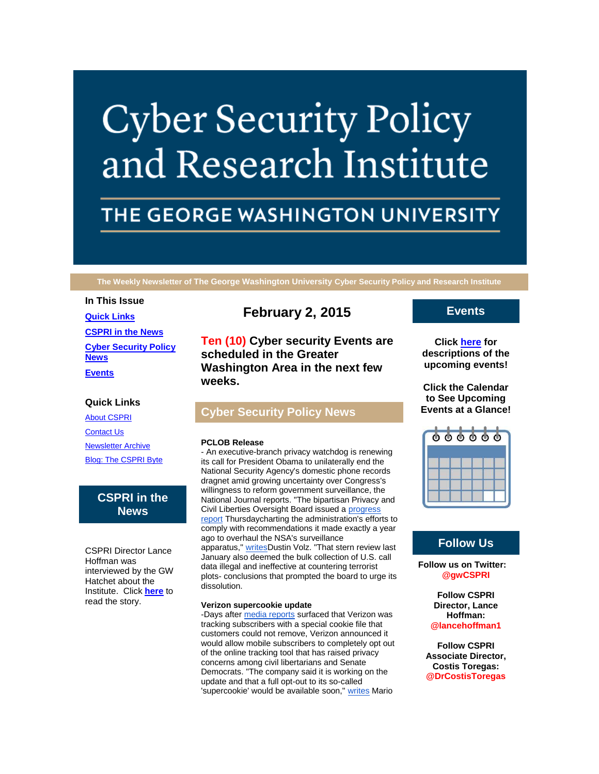# **Cyber Security Policy** and Research Institute

# THE GEORGE WASHINGTON UNIVERSITY

**The Weekly Newsletter of The George Washington University Cyber Security Policy and Research Institute**

# **In This Issue**

**[Quick Links](https://mail.google.com/mail/u/0/#14b4b3fa196ba685_LETTER.BLOCK5) [CSPRI in the News](https://mail.google.com/mail/u/0/#14b4b3fa196ba685_LETTER.BLOCK25) [Cyber Security Policy](https://mail.google.com/mail/u/0/#14b4b3fa196ba685_LETTER.BLOCK17)  [News](https://mail.google.com/mail/u/0/#14b4b3fa196ba685_LETTER.BLOCK17) [Events](https://mail.google.com/mail/u/0/#14b4b3fa196ba685_LETTER.BLOCK21)**

## **Quick Links**

[About CSPRI](http://r20.rs6.net/tn.jsp?f=001ffJQ4_kokopzNedAlDnAUMVFg60Plv3dbD_aVbkrYoIIPzFLUElif_JGFRfDOom4BA0zGC6ez3ghS_DOaGktEf2983D0bf0cjeOoK8fhLWo-TxBfsAQUuBkhXk4idT7KW9fpbeI9CCYsZNwzdjMMNc-lSmiGS-zkjwAudlGPee72fa_yI0ZiLX17z0Qg8oXr&c=1K_Gv4_OOZeMeb13vX7u5Ucxlz81Clj3Lm9YA48_xhekrG8lmPdtFg==&ch=OWXl2HBFf33jD69pbXHaV2HvAr5MzAfE3SiNWkypv0W7SLielgdq_g==) [Contact Us](http://r20.rs6.net/tn.jsp?f=001ffJQ4_kokopzNedAlDnAUMVFg60Plv3dbD_aVbkrYoIIPzFLUElif_JGFRfDOom4PhcTkBlTL6zYaOPtw21lIX7HgbgwHQhq1N1G7m5DdaZIkcCIEIi0H7l56E3Zb82vgcXGspEDG5sVO3pnkCA8IqpbvnsJNdKjzclAOrIGJ36phceeyxMOJpbRncdSdg9Y8x8UGhcIRqQ=&c=1K_Gv4_OOZeMeb13vX7u5Ucxlz81Clj3Lm9YA48_xhekrG8lmPdtFg==&ch=OWXl2HBFf33jD69pbXHaV2HvAr5MzAfE3SiNWkypv0W7SLielgdq_g==) [Newsletter Archive](http://r20.rs6.net/tn.jsp?f=001ffJQ4_kokopzNedAlDnAUMVFg60Plv3dbD_aVbkrYoIIPzFLUElif_JGFRfDOom4tRlpSBD0rbR71ObGA4UpaF-2cvFFgTJGAVNoXEHPJVmPDCnvCFiPiikUCXlD7NZzgCIuRDiE4O_t9g32FNpe1m9VWpxGDnXmnref8adJ2lURtChDW0aU2ehQKNhcZUHFXPz0s8gw-Ao=&c=1K_Gv4_OOZeMeb13vX7u5Ucxlz81Clj3Lm9YA48_xhekrG8lmPdtFg==&ch=OWXl2HBFf33jD69pbXHaV2HvAr5MzAfE3SiNWkypv0W7SLielgdq_g==) [Blog: The CSPRI Byte](http://r20.rs6.net/tn.jsp?f=001ffJQ4_kokopzNedAlDnAUMVFg60Plv3dbD_aVbkrYoIIPzFLUElif_JGFRfDOom4SIBtPjfRkTp6G1PUnvbvKnhD0r5yBFocam21aMmujCekjc_3e1pwlgYoPm2Y9ooQeB9pdZPKk962ZvFwWyEXrKNpE8Ea8NZ9lYCT-aR7L2rI2J8KH7gRyEv2gtwChiK-&c=1K_Gv4_OOZeMeb13vX7u5Ucxlz81Clj3Lm9YA48_xhekrG8lmPdtFg==&ch=OWXl2HBFf33jD69pbXHaV2HvAr5MzAfE3SiNWkypv0W7SLielgdq_g==)

# **CSPRI in the News**

CSPRI Director Lance Hoffman was interviewed by the GW Hatchet about the Institute. Click **[here](http://r20.rs6.net/tn.jsp?f=001ffJQ4_kokopzNedAlDnAUMVFg60Plv3dbD_aVbkrYoIIPzFLUElif2KGNQ6KuJ9IuSX-COdou1puLLqOMLZA4GiAe9HkX1PJH746d6UXyeHNR0iaqLjNwYNUqQs7xl59Qxp-1nUU-dcdfpw97VNAI39ZcCU1Cyt82ugIqgkK5bfb-o8QuWEloyHAwfCgUpNmhi0K-Gr_tuJ4AasK-22Xi26tFJDvy2mQKFoflNpNL7P2uyG2NEzHmceh9svZaW3BtnU84T0R914GageJEbZrzeFHcK-b9TRX&c=1K_Gv4_OOZeMeb13vX7u5Ucxlz81Clj3Lm9YA48_xhekrG8lmPdtFg==&ch=OWXl2HBFf33jD69pbXHaV2HvAr5MzAfE3SiNWkypv0W7SLielgdq_g==)** to read the story.

# **February 2, 2015**

**Ten (10) Cyber security Events are scheduled in the Greater Washington Area in the next few weeks.**

# **Cyber Security Policy News**

#### **PCLOB Release**

- An executive-branch privacy watchdog is renewing its call for President Obama to unilaterally end the National Security Agency's domestic phone records dragnet amid growing uncertainty over Congress's willingness to reform government surveillance, the National Journal reports. "The bipartisan Privacy and Civil Liberties Oversight Board issued a [progress](http://r20.rs6.net/tn.jsp?f=001ffJQ4_kokopzNedAlDnAUMVFg60Plv3dbD_aVbkrYoIIPzFLUElif2KGNQ6KuJ9IAY9r8XuJbyKlndzLaYMOsmyF2aE2SQQxoA3d8JMgubenw7kYPr0TRwQezwEYnz84YNbB67hCfaXC5Y896jM7SO_KFilGGVIh1sy6krj13ZdaUChr4_FTZXdX6zOmcUJ3vW7uMbEd5xRiyPSUvgFZNuchFUAEKmXz45CwWVqiQ2w=&c=1K_Gv4_OOZeMeb13vX7u5Ucxlz81Clj3Lm9YA48_xhekrG8lmPdtFg==&ch=OWXl2HBFf33jD69pbXHaV2HvAr5MzAfE3SiNWkypv0W7SLielgdq_g==)  [report](http://r20.rs6.net/tn.jsp?f=001ffJQ4_kokopzNedAlDnAUMVFg60Plv3dbD_aVbkrYoIIPzFLUElif2KGNQ6KuJ9IAY9r8XuJbyKlndzLaYMOsmyF2aE2SQQxoA3d8JMgubenw7kYPr0TRwQezwEYnz84YNbB67hCfaXC5Y896jM7SO_KFilGGVIh1sy6krj13ZdaUChr4_FTZXdX6zOmcUJ3vW7uMbEd5xRiyPSUvgFZNuchFUAEKmXz45CwWVqiQ2w=&c=1K_Gv4_OOZeMeb13vX7u5Ucxlz81Clj3Lm9YA48_xhekrG8lmPdtFg==&ch=OWXl2HBFf33jD69pbXHaV2HvAr5MzAfE3SiNWkypv0W7SLielgdq_g==) Thursdaycharting the administration's efforts to comply with recommendations it made exactly a year ago to overhaul the NSA's surveillance apparatus," [writesD](http://r20.rs6.net/tn.jsp?f=001ffJQ4_kokopzNedAlDnAUMVFg60Plv3dbD_aVbkrYoIIPzFLUElif2KGNQ6KuJ9IVl6pcMTBz5YmUbtg_pCsGqyCqr-BeSgMsOGjZDVdC7U7SBmODYjfCrnSkHCZt80gtpQF8UOOvwkiCmWObT9olVygVh0La4CfVgWhvB7WIn6BUKugnWyxbfRQ1KPOgeWDJwNRyxCByAvoZW-Dig08Q5RYr33YDTrpsY4JFi7shxp27dp724pfFMuKnX9RRCRcXLHWdfmcgMm2vz74aviyjFWwGkNKrZyj&c=1K_Gv4_OOZeMeb13vX7u5Ucxlz81Clj3Lm9YA48_xhekrG8lmPdtFg==&ch=OWXl2HBFf33jD69pbXHaV2HvAr5MzAfE3SiNWkypv0W7SLielgdq_g==)ustin Volz. "That stern review last January also deemed the bulk collection of U.S. call data illegal and ineffective at countering terrorist plots- conclusions that prompted the board to urge its dissolution.

#### **Verizon supercookie update**

-Days after [media reports](http://r20.rs6.net/tn.jsp?f=001ffJQ4_kokopzNedAlDnAUMVFg60Plv3dbD_aVbkrYoIIPzFLUElif2KGNQ6KuJ9I0Wr1YKOMiTL36Ubgke-CARbOjLnMkWjxxDq0m4Bjtapu5S82BuSCR4kjuuyxiX6DTfu4PcuUIkcOVfE5QM-jwNElOaRWJylBISAgBA5bE0i2aa_oiLcP2e3mr-56nCrWcbtB-TLqXhEAriKLiUQ67Qhhfk2Q7vHS0k7MsbmKUKjq90faqy1YsRGgcutiTQUZAZgWICubBEvU67LjYPngvc70AcSxhDdB&c=1K_Gv4_OOZeMeb13vX7u5Ucxlz81Clj3Lm9YA48_xhekrG8lmPdtFg==&ch=OWXl2HBFf33jD69pbXHaV2HvAr5MzAfE3SiNWkypv0W7SLielgdq_g==) surfaced that Verizon was tracking subscribers with a special cookie file that customers could not remove, Verizon announced it would allow mobile subscribers to completely opt out of the online tracking tool that has raised privacy concerns among civil libertarians and Senate Democrats. "The company said it is working on the update and that a full opt-out to its so-called 'supercookie' would be available soon," [writes](http://r20.rs6.net/tn.jsp?f=001ffJQ4_kokopzNedAlDnAUMVFg60Plv3dbD_aVbkrYoIIPzFLUElif2KGNQ6KuJ9Ib8ypt8VrlfpMDvUNjNM3xnm9qOP0GqKsGlyQhB7Hw35Wqdf45n4oglh_ad5t3u3EuUi4XhsJeQ5eXEMqy7QZJwu8r3qF6oZIwptiQigg4pCqyyVhKMHj4Au5WKFKGdW0GgVafYeQrGNwEilEZpv7zVEw-iYSFClLZ0yb9oUjL88PBusIw-MS8V4aTl5jUm1z&c=1K_Gv4_OOZeMeb13vX7u5Ucxlz81Clj3Lm9YA48_xhekrG8lmPdtFg==&ch=OWXl2HBFf33jD69pbXHaV2HvAr5MzAfE3SiNWkypv0W7SLielgdq_g==) Mario

### **Events**

**Click [here](http://r20.rs6.net/tn.jsp?f=001ffJQ4_kokopzNedAlDnAUMVFg60Plv3dbD_aVbkrYoIIPzFLUElif_JGFRfDOom4CZF1fpi9gA9uELRTjgd5-CLB_YYJiGwRGvYhL5mKPW14aA8W6kXbKbJTRn07zjCy1C8xVC1vRP-95yCkYjJSLJ-dMTaNyi14fYeibfDw6HarqAXtFRKnGqbg7_KqprAwCSTbmjB0iDkMv35k2Ad9Ag==&c=1K_Gv4_OOZeMeb13vX7u5Ucxlz81Clj3Lm9YA48_xhekrG8lmPdtFg==&ch=OWXl2HBFf33jD69pbXHaV2HvAr5MzAfE3SiNWkypv0W7SLielgdq_g==) for descriptions of the upcoming events!**

**Click the Calendar to See Upcoming Events at a Glance!**



# **Follow Us**

**Follow us on Twitter: @gwCSPRI**

> **Follow CSPRI Director, Lance Hoffman: @lancehoffman1**

**Follow CSPRI Associate Director, Costis Toregas: @DrCostisToregas**